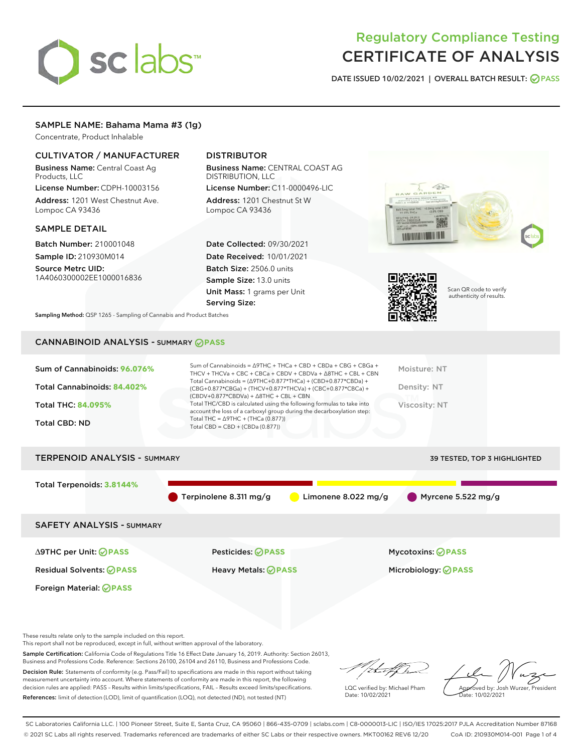# sclabs<sup>\*</sup>

# Regulatory Compliance Testing CERTIFICATE OF ANALYSIS

DATE ISSUED 10/02/2021 | OVERALL BATCH RESULT: @ PASS

### SAMPLE NAME: Bahama Mama #3 (1g)

Concentrate, Product Inhalable

## CULTIVATOR / MANUFACTURER

Business Name: Central Coast Ag Products, LLC

License Number: CDPH-10003156 Address: 1201 West Chestnut Ave. Lompoc CA 93436

#### SAMPLE DETAIL

Batch Number: 210001048 Sample ID: 210930M014

Source Metrc UID: 1A4060300002EE1000016836

# DISTRIBUTOR

Business Name: CENTRAL COAST AG DISTRIBUTION, LLC

License Number: C11-0000496-LIC Address: 1201 Chestnut St W Lompoc CA 93436

Date Collected: 09/30/2021 Date Received: 10/01/2021 Batch Size: 2506.0 units Sample Size: 13.0 units Unit Mass: 1 grams per Unit Serving Size:





Scan QR code to verify authenticity of results.

Sampling Method: QSP 1265 - Sampling of Cannabis and Product Batches

# CANNABINOID ANALYSIS - SUMMARY **PASS**

| Sum of Cannabinoids: 96.076%<br>Total Cannabinoids: 84.402%<br><b>Total THC: 84.095%</b><br><b>Total CBD: ND</b> | Sum of Cannabinoids = $\triangle$ 9THC + THCa + CBD + CBDa + CBG + CBGa +<br>THCV + THCVa + CBC + CBCa + CBDV + CBDVa + $\triangle$ 8THC + CBL + CBN<br>Total Cannabinoids = (∆9THC+0.877*THCa) + (CBD+0.877*CBDa) +<br>$(CBG+0.877*CBGa) + (THCV+0.877*THCVa) + (CBC+0.877*CBCa) +$<br>$(CBDV+0.877*CBDVa) + \Delta 8THC + CBL + CBN$<br>Total THC/CBD is calculated using the following formulas to take into<br>account the loss of a carboxyl group during the decarboxylation step:<br>Total THC = $\triangle$ 9THC + (THCa (0.877))<br>Total CBD = $CBD + (CBDa (0.877))$ | Moisture: NT<br>Density: NT<br>Viscosity: NT |
|------------------------------------------------------------------------------------------------------------------|---------------------------------------------------------------------------------------------------------------------------------------------------------------------------------------------------------------------------------------------------------------------------------------------------------------------------------------------------------------------------------------------------------------------------------------------------------------------------------------------------------------------------------------------------------------------------------|----------------------------------------------|
| <b>TERPENOID ANALYSIS - SUMMARY</b>                                                                              |                                                                                                                                                                                                                                                                                                                                                                                                                                                                                                                                                                                 | 39 TESTED, TOP 3 HIGHLIGHTED                 |
|                                                                                                                  |                                                                                                                                                                                                                                                                                                                                                                                                                                                                                                                                                                                 |                                              |
| Total Terpenoids: 3.8144%                                                                                        | Terpinolene 8.311 mg/g<br>Limonene 8.022 mg/g                                                                                                                                                                                                                                                                                                                                                                                                                                                                                                                                   | Myrcene 5.522 mg/g                           |

SAFETY ANALYSIS - SUMMARY

∆9THC per Unit: **PASS** Pesticides: **PASS** Mycotoxins: **PASS**

Foreign Material: **PASS**

Residual Solvents: **PASS** Heavy Metals: **PASS** Microbiology: **PASS**

These results relate only to the sample included on this report.

This report shall not be reproduced, except in full, without written approval of the laboratory.

Sample Certification: California Code of Regulations Title 16 Effect Date January 16, 2019. Authority: Section 26013, Business and Professions Code. Reference: Sections 26100, 26104 and 26110, Business and Professions Code.

Decision Rule: Statements of conformity (e.g. Pass/Fail) to specifications are made in this report without taking measurement uncertainty into account. Where statements of conformity are made in this report, the following decision rules are applied: PASS – Results within limits/specifications, FAIL – Results exceed limits/specifications. References: limit of detection (LOD), limit of quantification (LOQ), not detected (ND), not tested (NT)

/ital/h

LQC verified by: Michael Pham Date: 10/02/2021

Approved by: Josh Wurzer, President ate: 10/02/2021

SC Laboratories California LLC. | 100 Pioneer Street, Suite E, Santa Cruz, CA 95060 | 866-435-0709 | sclabs.com | C8-0000013-LIC | ISO/IES 17025:2017 PJLA Accreditation Number 87168 © 2021 SC Labs all rights reserved. Trademarks referenced are trademarks of either SC Labs or their respective owners. MKT00162 REV6 12/20 CoA ID: 210930M014-001 Page 1 of 4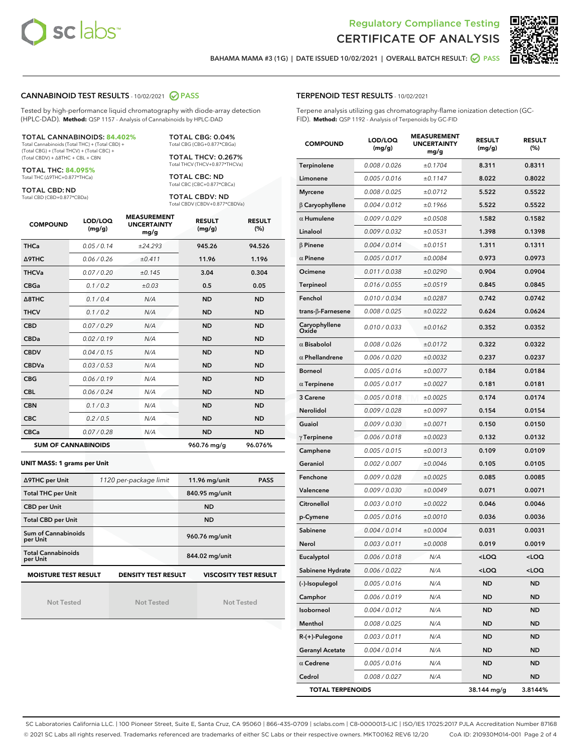



BAHAMA MAMA #3 (1G) | DATE ISSUED 10/02/2021 | OVERALL BATCH RESULT: 2 PASS

#### CANNABINOID TEST RESULTS - 10/02/2021 2 PASS

Tested by high-performance liquid chromatography with diode-array detection (HPLC-DAD). **Method:** QSP 1157 - Analysis of Cannabinoids by HPLC-DAD

#### TOTAL CANNABINOIDS: **84.402%**

Total Cannabinoids (Total THC) + (Total CBD) + (Total CBG) + (Total THCV) + (Total CBC) + (Total CBDV) + ∆8THC + CBL + CBN

TOTAL THC: **84.095%** Total THC (∆9THC+0.877\*THCa)

TOTAL CBD: ND

Total CBD (CBD+0.877\*CBDa)

TOTAL CBG: 0.04% Total CBG (CBG+0.877\*CBGa)

TOTAL THCV: 0.267% Total THCV (THCV+0.877\*THCVa)

TOTAL CBC: ND Total CBC (CBC+0.877\*CBCa)

TOTAL CBDV: ND Total CBDV (CBDV+0.877\*CBDVa)

| <b>COMPOUND</b>            | LOD/LOQ<br>(mg/g) | <b>MEASUREMENT</b><br><b>UNCERTAINTY</b><br>mg/g | <b>RESULT</b><br>(mg/g) | <b>RESULT</b><br>(%) |
|----------------------------|-------------------|--------------------------------------------------|-------------------------|----------------------|
| <b>THCa</b>                | 0.05/0.14         | ±24.293                                          | 945.26                  | 94.526               |
| <b>A9THC</b>               | 0.06/0.26         | ±0.411                                           | 11.96                   | 1.196                |
| <b>THCVa</b>               | 0.07 / 0.20       | ±0.145                                           | 3.04                    | 0.304                |
| <b>CBGa</b>                | 0.1/0.2           | ±0.03                                            | 0.5                     | 0.05                 |
| $\triangle$ 8THC           | 0.1/0.4           | N/A                                              | <b>ND</b>               | <b>ND</b>            |
| <b>THCV</b>                | 0.1/0.2           | N/A                                              | <b>ND</b>               | <b>ND</b>            |
| <b>CBD</b>                 | 0.07/0.29         | N/A                                              | <b>ND</b>               | <b>ND</b>            |
| <b>CBDa</b>                | 0.02/0.19         | N/A                                              | <b>ND</b>               | <b>ND</b>            |
| <b>CBDV</b>                | 0.04 / 0.15       | N/A                                              | <b>ND</b>               | <b>ND</b>            |
| <b>CBDVa</b>               | 0.03/0.53         | N/A                                              | <b>ND</b>               | <b>ND</b>            |
| <b>CBG</b>                 | 0.06/0.19         | N/A                                              | <b>ND</b>               | <b>ND</b>            |
| <b>CBL</b>                 | 0.06 / 0.24       | N/A                                              | <b>ND</b>               | <b>ND</b>            |
| <b>CBN</b>                 | 0.1/0.3           | N/A                                              | <b>ND</b>               | <b>ND</b>            |
| <b>CBC</b>                 | 0.2 / 0.5         | N/A                                              | <b>ND</b>               | <b>ND</b>            |
| <b>CBCa</b>                | 0.07/0.28         | N/A                                              | <b>ND</b>               | <b>ND</b>            |
| <b>SUM OF CANNABINOIDS</b> |                   |                                                  | 960.76 mg/g             | 96.076%              |

#### **UNIT MASS: 1 grams per Unit**

| ∆9THC per Unit                        | 1120 per-package limit     | $11.96$ mg/unit<br><b>PASS</b> |  |  |  |
|---------------------------------------|----------------------------|--------------------------------|--|--|--|
| <b>Total THC per Unit</b>             |                            | 840.95 mg/unit                 |  |  |  |
| <b>CBD per Unit</b>                   |                            | <b>ND</b>                      |  |  |  |
| <b>Total CBD per Unit</b>             |                            | <b>ND</b>                      |  |  |  |
| Sum of Cannabinoids<br>per Unit       |                            | 960.76 mg/unit                 |  |  |  |
| <b>Total Cannabinoids</b><br>per Unit |                            | 844.02 mg/unit                 |  |  |  |
| <b>MOISTURE TEST RESULT</b>           | <b>DENSITY TEST RESULT</b> | <b>VISCOSITY TEST RESULT</b>   |  |  |  |

Not Tested

Not Tested

Not Tested

#### TERPENOID TEST RESULTS - 10/02/2021

Terpene analysis utilizing gas chromatography-flame ionization detection (GC-FID). **Method:** QSP 1192 - Analysis of Terpenoids by GC-FID

| <b>COMPOUND</b>           | LOD/LOQ<br>(mg/g) | <b>MEASUREMENT</b><br><b>UNCERTAINTY</b><br>mg/g | <b>RESULT</b><br>(mg/g)                         | <b>RESULT</b><br>(%) |
|---------------------------|-------------------|--------------------------------------------------|-------------------------------------------------|----------------------|
| Terpinolene               | 0.008 / 0.026     | ±0.1704                                          | 8.311                                           | 0.8311               |
| Limonene                  | 0.005 / 0.016     | ±0.1147                                          | 8.022                                           | 0.8022               |
| <b>Myrcene</b>            | 0.008 / 0.025     | ±0.0712                                          | 5.522                                           | 0.5522               |
| $\beta$ Caryophyllene     | 0.004 / 0.012     | ±0.1966                                          | 5.522                                           | 0.5522               |
| $\alpha$ Humulene         | 0.009 / 0.029     | ±0.0508                                          | 1.582                                           | 0.1582               |
| Linalool                  | 0.009/0.032       | ±0.0531                                          | 1.398                                           | 0.1398               |
| $\beta$ Pinene            | 0.004 / 0.014     | ±0.0151                                          | 1.311                                           | 0.1311               |
| $\alpha$ Pinene           | 0.005 / 0.017     | ±0.0084                                          | 0.973                                           | 0.0973               |
| Ocimene                   | 0.011 / 0.038     | ±0.0290                                          | 0.904                                           | 0.0904               |
| Terpineol                 | 0.016 / 0.055     | ±0.0519                                          | 0.845                                           | 0.0845               |
| Fenchol                   | 0.010 / 0.034     | ±0.0287                                          | 0.742                                           | 0.0742               |
| trans- $\beta$ -Farnesene | 0.008 / 0.025     | ±0.0222                                          | 0.624                                           | 0.0624               |
| Caryophyllene<br>Oxide    | 0.010 / 0.033     | ±0.0162                                          | 0.352                                           | 0.0352               |
| $\alpha$ Bisabolol        | 0.008 / 0.026     | ±0.0172                                          | 0.322                                           | 0.0322               |
| $\alpha$ Phellandrene     | 0.006 / 0.020     | ±0.0032                                          | 0.237                                           | 0.0237               |
| <b>Borneol</b>            | 0.005 / 0.016     | ±0.0077                                          | 0.184                                           | 0.0184               |
| $\alpha$ Terpinene        | 0.005 / 0.017     | ±0.0027                                          | 0.181                                           | 0.0181               |
| 3 Carene                  | 0.005 / 0.018     | ±0.0025                                          | 0.174                                           | 0.0174               |
| Nerolidol                 | 0.009 / 0.028     | ±0.0097                                          | 0.154                                           | 0.0154               |
| Guaiol                    | 0.009 / 0.030     | ±0.0071                                          | 0.150                                           | 0.0150               |
| $\gamma$ Terpinene        | 0.006 / 0.018     | ±0.0023                                          | 0.132                                           | 0.0132               |
| Camphene                  | 0.005 / 0.015     | ±0.0013                                          | 0.109                                           | 0.0109               |
| Geraniol                  | 0.002 / 0.007     | ±0.0046                                          | 0.105                                           | 0.0105               |
| Fenchone                  | 0.009 / 0.028     | ±0.0025                                          | 0.085                                           | 0.0085               |
| Valencene                 | 0.009 / 0.030     | ±0.0049                                          | 0.071                                           | 0.0071               |
| Citronellol               | 0.003 / 0.010     | ±0.0022                                          | 0.046                                           | 0.0046               |
| p-Cymene                  | 0.005 / 0.016     | ±0.0010                                          | 0.036                                           | 0.0036               |
| Sabinene                  | 0.004 / 0.014     | ±0.0004                                          | 0.031                                           | 0.0031               |
| Nerol                     | 0.003 / 0.011     | ±0.0008                                          | 0.019                                           | 0.0019               |
| Eucalyptol                | 0.006 / 0.018     | N/A                                              | $<$ l OO                                        | <loq< th=""></loq<>  |
| Sabinene Hydrate          | 0.006 / 0.022     | N/A                                              | <loq< th=""><th><loq< th=""></loq<></th></loq<> | <loq< th=""></loq<>  |
| (-)-Isopulegol            | 0.005 / 0.016     | N/A                                              | ND                                              | <b>ND</b>            |
| Camphor                   | 0.006 / 0.019     | N/A                                              | ND                                              | <b>ND</b>            |
| Isoborneol                | 0.004 / 0.012     | N/A                                              | ND                                              | <b>ND</b>            |
| Menthol                   | 0.008 / 0.025     | N/A                                              | ND                                              | ND                   |
| R-(+)-Pulegone            | 0.003 / 0.011     | N/A                                              | ND                                              | ND                   |
| <b>Geranyl Acetate</b>    | 0.004 / 0.014     | N/A                                              | ND                                              | <b>ND</b>            |
| $\alpha$ Cedrene          | 0.005 / 0.016     | N/A                                              | ND                                              | ND                   |
| Cedrol                    | 0.008 / 0.027     | N/A                                              | ND                                              | <b>ND</b>            |
| <b>TOTAL TERPENOIDS</b>   |                   | 38.144 mg/g                                      | 3.8144%                                         |                      |

SC Laboratories California LLC. | 100 Pioneer Street, Suite E, Santa Cruz, CA 95060 | 866-435-0709 | sclabs.com | C8-0000013-LIC | ISO/IES 17025:2017 PJLA Accreditation Number 87168 © 2021 SC Labs all rights reserved. Trademarks referenced are trademarks of either SC Labs or their respective owners. MKT00162 REV6 12/20 CoA ID: 210930M014-001 Page 2 of 4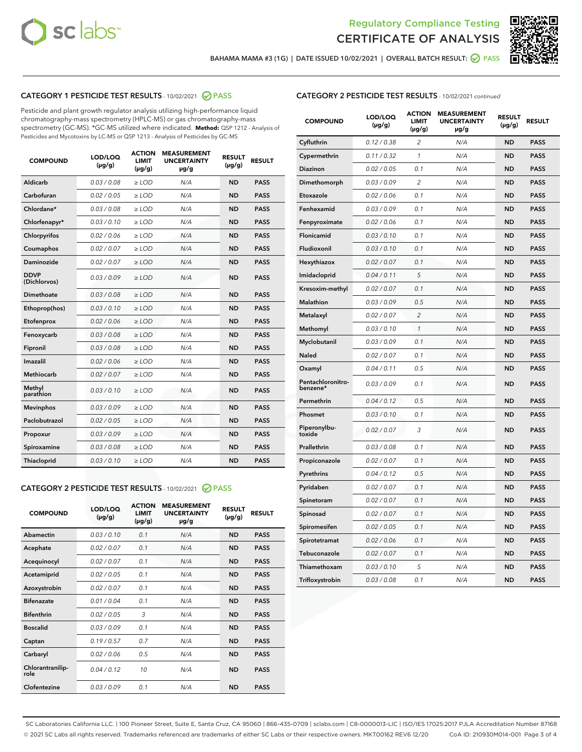



BAHAMA MAMA #3 (1G) | DATE ISSUED 10/02/2021 | OVERALL BATCH RESULT:  $\bigcirc$  PASS

# CATEGORY 1 PESTICIDE TEST RESULTS - 10/02/2021 2 PASS

Pesticide and plant growth regulator analysis utilizing high-performance liquid chromatography-mass spectrometry (HPLC-MS) or gas chromatography-mass spectrometry (GC-MS). \*GC-MS utilized where indicated. **Method:** QSP 1212 - Analysis of Pesticides and Mycotoxins by LC-MS or QSP 1213 - Analysis of Pesticides by GC-MS

| <b>COMPOUND</b>             | LOD/LOQ<br>$(\mu g/g)$ | <b>ACTION</b><br><b>LIMIT</b><br>$(\mu g/g)$ | <b>MEASUREMENT</b><br><b>UNCERTAINTY</b><br>µg/g | <b>RESULT</b><br>$(\mu g/g)$ | <b>RESULT</b> |
|-----------------------------|------------------------|----------------------------------------------|--------------------------------------------------|------------------------------|---------------|
| Aldicarb                    | 0.03 / 0.08            | $\geq$ LOD                                   | N/A                                              | <b>ND</b>                    | <b>PASS</b>   |
| Carbofuran                  | 0.02/0.05              | $\geq$ LOD                                   | N/A                                              | <b>ND</b>                    | <b>PASS</b>   |
| Chlordane*                  | 0.03 / 0.08            | $\ge$ LOD                                    | N/A                                              | <b>ND</b>                    | <b>PASS</b>   |
| Chlorfenapyr*               | 0.03/0.10              | $\ge$ LOD                                    | N/A                                              | <b>ND</b>                    | <b>PASS</b>   |
| Chlorpyrifos                | 0.02 / 0.06            | $\ge$ LOD                                    | N/A                                              | <b>ND</b>                    | <b>PASS</b>   |
| Coumaphos                   | 0.02 / 0.07            | $\ge$ LOD                                    | N/A                                              | <b>ND</b>                    | <b>PASS</b>   |
| Daminozide                  | 0.02 / 0.07            | $\ge$ LOD                                    | N/A                                              | <b>ND</b>                    | <b>PASS</b>   |
| <b>DDVP</b><br>(Dichlorvos) | 0.03/0.09              | $\ge$ LOD                                    | N/A                                              | <b>ND</b>                    | <b>PASS</b>   |
| Dimethoate                  | 0.03/0.08              | $\ge$ LOD                                    | N/A                                              | <b>ND</b>                    | <b>PASS</b>   |
| Ethoprop(hos)               | 0.03/0.10              | $\ge$ LOD                                    | N/A                                              | <b>ND</b>                    | <b>PASS</b>   |
| Etofenprox                  | 0.02 / 0.06            | $\ge$ LOD                                    | N/A                                              | <b>ND</b>                    | <b>PASS</b>   |
| Fenoxycarb                  | 0.03/0.08              | $\ge$ LOD                                    | N/A                                              | <b>ND</b>                    | <b>PASS</b>   |
| Fipronil                    | 0.03 / 0.08            | $\ge$ LOD                                    | N/A                                              | <b>ND</b>                    | <b>PASS</b>   |
| Imazalil                    | 0.02 / 0.06            | $\ge$ LOD                                    | N/A                                              | <b>ND</b>                    | <b>PASS</b>   |
| <b>Methiocarb</b>           | 0.02 / 0.07            | $\ge$ LOD                                    | N/A                                              | <b>ND</b>                    | <b>PASS</b>   |
| Methyl<br>parathion         | 0.03/0.10              | $\ge$ LOD                                    | N/A                                              | <b>ND</b>                    | <b>PASS</b>   |
| <b>Mevinphos</b>            | 0.03/0.09              | $\ge$ LOD                                    | N/A                                              | <b>ND</b>                    | <b>PASS</b>   |
| Paclobutrazol               | 0.02 / 0.05            | $\ge$ LOD                                    | N/A                                              | <b>ND</b>                    | <b>PASS</b>   |
| Propoxur                    | 0.03/0.09              | $\ge$ LOD                                    | N/A                                              | <b>ND</b>                    | <b>PASS</b>   |
| Spiroxamine                 | 0.03/0.08              | $\ge$ LOD                                    | N/A                                              | <b>ND</b>                    | <b>PASS</b>   |
| <b>Thiacloprid</b>          | 0.03/0.10              | $\ge$ LOD                                    | N/A                                              | <b>ND</b>                    | <b>PASS</b>   |
|                             |                        |                                              |                                                  |                              |               |

# CATEGORY 2 PESTICIDE TEST RESULTS - 10/02/2021 @ PASS

| <b>COMPOUND</b>          | LOD/LOO<br>$(\mu g/g)$ | <b>ACTION</b><br>LIMIT<br>$(\mu g/g)$ | <b>MEASUREMENT</b><br><b>UNCERTAINTY</b><br>$\mu$ g/g | <b>RESULT</b><br>$(\mu g/g)$ | <b>RESULT</b> |  |
|--------------------------|------------------------|---------------------------------------|-------------------------------------------------------|------------------------------|---------------|--|
| Abamectin                | 0.03/0.10              | 0.1                                   | N/A                                                   | <b>ND</b>                    | <b>PASS</b>   |  |
| Acephate                 | 0.02/0.07              | 0.1                                   | N/A                                                   | <b>ND</b>                    | <b>PASS</b>   |  |
| Acequinocyl              | 0.02/0.07              | 0.1                                   | N/A                                                   | <b>ND</b>                    | <b>PASS</b>   |  |
| Acetamiprid              | 0.02/0.05              | 0.1                                   | N/A                                                   | <b>ND</b>                    | <b>PASS</b>   |  |
| Azoxystrobin             | 0.02/0.07              | 0.1                                   | N/A                                                   | <b>ND</b>                    | <b>PASS</b>   |  |
| <b>Bifenazate</b>        | 0.01/0.04              | 0.1                                   | N/A                                                   | <b>ND</b>                    | <b>PASS</b>   |  |
| <b>Bifenthrin</b>        | 0.02/0.05              | 3                                     | N/A                                                   | <b>ND</b>                    | <b>PASS</b>   |  |
| <b>Boscalid</b>          | 0.03/0.09              | 0.1                                   | N/A                                                   | <b>ND</b>                    | <b>PASS</b>   |  |
| Captan                   | 0.19/0.57              | 0.7                                   | N/A                                                   | <b>ND</b>                    | <b>PASS</b>   |  |
| Carbaryl                 | 0.02/0.06              | 0.5                                   | N/A                                                   | <b>ND</b>                    | <b>PASS</b>   |  |
| Chlorantranilip-<br>role | 0.04/0.12              | 10                                    | N/A                                                   | <b>ND</b>                    | <b>PASS</b>   |  |
| Clofentezine             | 0.03/0.09              | 0.1                                   | N/A                                                   | <b>ND</b>                    | <b>PASS</b>   |  |

| <b>CATEGORY 2 PESTICIDE TEST RESULTS</b> - 10/02/2021 continued |
|-----------------------------------------------------------------|
|-----------------------------------------------------------------|

| <b>COMPOUND</b>               | LOD/LOQ<br>(µg/g) | <b>ACTION</b><br><b>LIMIT</b><br>$(\mu g/g)$ | <b>MEASUREMENT</b><br><b>UNCERTAINTY</b><br>µg/g | <b>RESULT</b><br>(µg/g) | <b>RESULT</b> |
|-------------------------------|-------------------|----------------------------------------------|--------------------------------------------------|-------------------------|---------------|
| Cyfluthrin                    | 0.12 / 0.38       | 2                                            | N/A                                              | <b>ND</b>               | <b>PASS</b>   |
| Cypermethrin                  | 0.11/0.32         | $\mathcal{I}$                                | N/A                                              | <b>ND</b>               | <b>PASS</b>   |
| <b>Diazinon</b>               | 0.02 / 0.05       | 0.1                                          | N/A                                              | <b>ND</b>               | <b>PASS</b>   |
| Dimethomorph                  | 0.03 / 0.09       | 2                                            | N/A                                              | <b>ND</b>               | <b>PASS</b>   |
| Etoxazole                     | 0.02 / 0.06       | 0.1                                          | N/A                                              | <b>ND</b>               | <b>PASS</b>   |
| Fenhexamid                    | 0.03 / 0.09       | 0.1                                          | N/A                                              | <b>ND</b>               | <b>PASS</b>   |
| Fenpyroximate                 | 0.02 / 0.06       | 0.1                                          | N/A                                              | <b>ND</b>               | <b>PASS</b>   |
| Flonicamid                    | 0.03/0.10         | 0.1                                          | N/A                                              | <b>ND</b>               | <b>PASS</b>   |
| Fludioxonil                   | 0.03 / 0.10       | 0.1                                          | N/A                                              | <b>ND</b>               | <b>PASS</b>   |
| Hexythiazox                   | 0.02 / 0.07       | 0.1                                          | N/A                                              | <b>ND</b>               | <b>PASS</b>   |
| Imidacloprid                  | 0.04 / 0.11       | 5                                            | N/A                                              | <b>ND</b>               | <b>PASS</b>   |
| Kresoxim-methyl               | 0.02 / 0.07       | 0.1                                          | N/A                                              | <b>ND</b>               | <b>PASS</b>   |
| Malathion                     | 0.03 / 0.09       | 0.5                                          | N/A                                              | <b>ND</b>               | <b>PASS</b>   |
| Metalaxyl                     | 0.02 / 0.07       | $\overline{c}$                               | N/A                                              | ND                      | <b>PASS</b>   |
| Methomyl                      | 0.03 / 0.10       | $\mathcal{I}$                                | N/A                                              | <b>ND</b>               | <b>PASS</b>   |
| Myclobutanil                  | 0.03 / 0.09       | 0.1                                          | N/A                                              | <b>ND</b>               | <b>PASS</b>   |
| Naled                         | 0.02 / 0.07       | 0.1                                          | N/A                                              | ND                      | <b>PASS</b>   |
| Oxamyl                        | 0.04 / 0.11       | 0.5                                          | N/A                                              | <b>ND</b>               | <b>PASS</b>   |
| Pentachloronitro-<br>benzene* | 0.03/0.09         | 0.1                                          | N/A                                              | <b>ND</b>               | <b>PASS</b>   |
| Permethrin                    | 0.04 / 0.12       | 0.5                                          | N/A                                              | ND                      | <b>PASS</b>   |
| Phosmet                       | 0.03 / 0.10       | 0.1                                          | N/A                                              | <b>ND</b>               | <b>PASS</b>   |
| Piperonylbu-<br>toxide        | 0.02 / 0.07       | 3                                            | N/A                                              | <b>ND</b>               | <b>PASS</b>   |
| Prallethrin                   | 0.03 / 0.08       | 0.1                                          | N/A                                              | <b>ND</b>               | <b>PASS</b>   |
| Propiconazole                 | 0.02 / 0.07       | 0.1                                          | N/A                                              | ND                      | <b>PASS</b>   |
| Pyrethrins                    | 0.04 / 0.12       | 0.5                                          | N/A                                              | <b>ND</b>               | <b>PASS</b>   |
| Pyridaben                     | 0.02 / 0.07       | 0.1                                          | N/A                                              | ND                      | <b>PASS</b>   |
| Spinetoram                    | 0.02 / 0.07       | 0.1                                          | N/A                                              | ND                      | <b>PASS</b>   |
| Spinosad                      | 0.02 / 0.07       | 0.1                                          | N/A                                              | ND                      | <b>PASS</b>   |
| Spiromesifen                  | 0.02 / 0.05       | 0.1                                          | N/A                                              | ND                      | <b>PASS</b>   |
| Spirotetramat                 | 0.02 / 0.06       | 0.1                                          | N/A                                              | ND                      | <b>PASS</b>   |
| Tebuconazole                  | 0.02 / 0.07       | 0.1                                          | N/A                                              | <b>ND</b>               | <b>PASS</b>   |
| Thiamethoxam                  | 0.03 / 0.10       | 5                                            | N/A                                              | ND                      | <b>PASS</b>   |
| Trifloxystrobin               | 0.03 / 0.08       | 0.1                                          | N/A                                              | ND                      | <b>PASS</b>   |

SC Laboratories California LLC. | 100 Pioneer Street, Suite E, Santa Cruz, CA 95060 | 866-435-0709 | sclabs.com | C8-0000013-LIC | ISO/IES 17025:2017 PJLA Accreditation Number 87168 © 2021 SC Labs all rights reserved. Trademarks referenced are trademarks of either SC Labs or their respective owners. MKT00162 REV6 12/20 CoA ID: 210930M014-001 Page 3 of 4